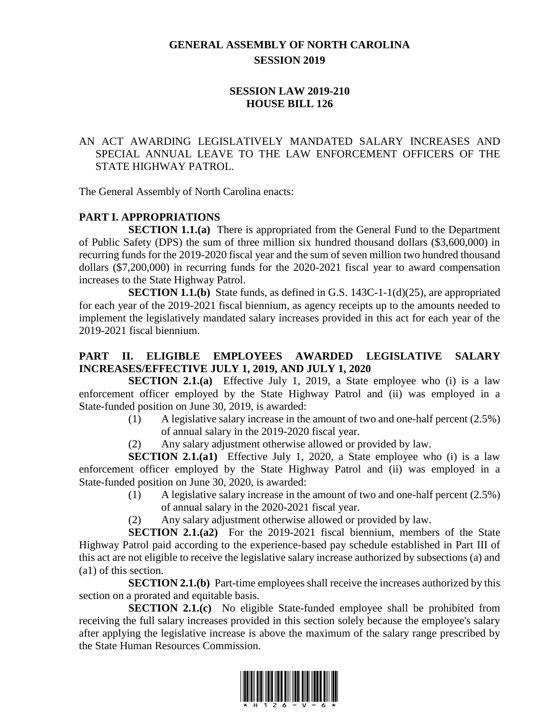# **GENERAL ASSEMBLY OF NORTH CAROLINA SESSION 2019**

#### **SESSION LAW 2019-210 HOUSE BILL 126**

#### AN ACT AWARDING LEGISLATIVELY MANDATED SALARY INCREASES AND SPECIAL ANNUAL LEAVE TO THE LAW ENFORCEMENT OFFICERS OF THE STATE HIGHWAY PATROL.

The General Assembly of North Carolina enacts:

#### **PART I. APPROPRIATIONS**

**SECTION 1.1.(a)** There is appropriated from the General Fund to the Department of Public Safety (DPS) the sum of three million six hundred thousand dollars (\$3,600,000) in recurring funds for the 2019-2020 fiscal year and the sum of seven million two hundred thousand dollars (\$7,200,000) in recurring funds for the 2020-2021 fiscal year to award compensation increases to the State Highway Patrol.

**SECTION 1.1.(b)** State funds, as defined in G.S. 143C-1-1(d)(25), are appropriated for each year of the 2019-2021 fiscal biennium, as agency receipts up to the amounts needed to implement the legislatively mandated salary increases provided in this act for each year of the 2019-2021 fiscal biennium.

#### **PART II. ELIGIBLE EMPLOYEES AWARDED LEGISLATIVE SALARY INCREASES/EFFECTIVE JULY 1, 2019, AND JULY 1, 2020**

**SECTION 2.1.(a)** Effective July 1, 2019, a State employee who (i) is a law enforcement officer employed by the State Highway Patrol and (ii) was employed in a State-funded position on June 30, 2019, is awarded:

- (1) A legislative salary increase in the amount of two and one-half percent (2.5%) of annual salary in the 2019-2020 fiscal year.
- (2) Any salary adjustment otherwise allowed or provided by law.

**SECTION 2.1.(a1)** Effective July 1, 2020, a State employee who (i) is a law enforcement officer employed by the State Highway Patrol and (ii) was employed in a State-funded position on June 30, 2020, is awarded:

- (1) A legislative salary increase in the amount of two and one-half percent (2.5%) of annual salary in the 2020-2021 fiscal year.
- (2) Any salary adjustment otherwise allowed or provided by law.

**SECTION 2.1.(a2)** For the 2019-2021 fiscal biennium, members of the State Highway Patrol paid according to the experience-based pay schedule established in Part III of this act are not eligible to receive the legislative salary increase authorized by subsections (a) and (a1) of this section.

**SECTION 2.1.(b)** Part-time employees shall receive the increases authorized by this section on a prorated and equitable basis.

**SECTION 2.1.(c)** No eligible State-funded employee shall be prohibited from receiving the full salary increases provided in this section solely because the employee's salary after applying the legislative increase is above the maximum of the salary range prescribed by the State Human Resources Commission.

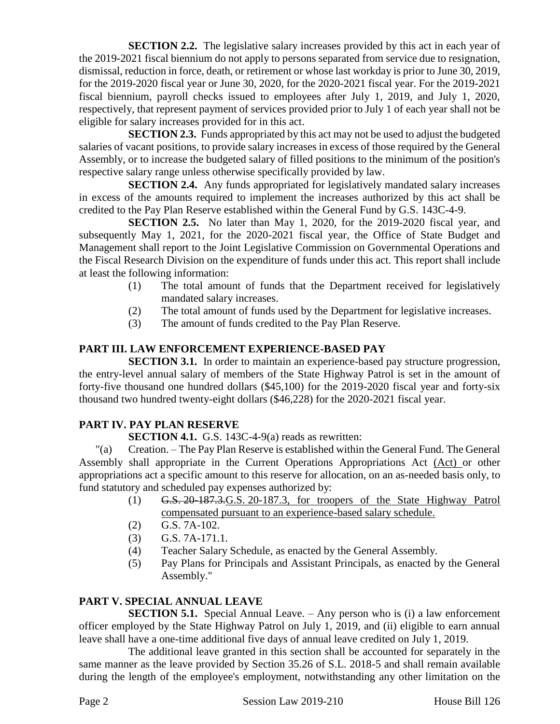**SECTION 2.2.** The legislative salary increases provided by this act in each year of the 2019-2021 fiscal biennium do not apply to persons separated from service due to resignation, dismissal, reduction in force, death, or retirement or whose last workday is prior to June 30, 2019, for the 2019-2020 fiscal year or June 30, 2020, for the 2020-2021 fiscal year. For the 2019-2021 fiscal biennium, payroll checks issued to employees after July 1, 2019, and July 1, 2020, respectively, that represent payment of services provided prior to July 1 of each year shall not be eligible for salary increases provided for in this act.

**SECTION 2.3.** Funds appropriated by this act may not be used to adjust the budgeted salaries of vacant positions, to provide salary increases in excess of those required by the General Assembly, or to increase the budgeted salary of filled positions to the minimum of the position's respective salary range unless otherwise specifically provided by law.

**SECTION 2.4.** Any funds appropriated for legislatively mandated salary increases in excess of the amounts required to implement the increases authorized by this act shall be credited to the Pay Plan Reserve established within the General Fund by G.S. 143C-4-9.

**SECTION 2.5.** No later than May 1, 2020, for the 2019-2020 fiscal year, and subsequently May 1, 2021, for the 2020-2021 fiscal year, the Office of State Budget and Management shall report to the Joint Legislative Commission on Governmental Operations and the Fiscal Research Division on the expenditure of funds under this act. This report shall include at least the following information:

- (1) The total amount of funds that the Department received for legislatively mandated salary increases.
- (2) The total amount of funds used by the Department for legislative increases.
- (3) The amount of funds credited to the Pay Plan Reserve.

# **PART III. LAW ENFORCEMENT EXPERIENCE-BASED PAY**

**SECTION 3.1.** In order to maintain an experience-based pay structure progression, the entry-level annual salary of members of the State Highway Patrol is set in the amount of forty-five thousand one hundred dollars (\$45,100) for the 2019-2020 fiscal year and forty-six thousand two hundred twenty-eight dollars (\$46,228) for the 2020-2021 fiscal year.

# **PART IV. PAY PLAN RESERVE**

**SECTION 4.1.** G.S. 143C-4-9(a) reads as rewritten:

"(a) Creation. – The Pay Plan Reserve is established within the General Fund. The General Assembly shall appropriate in the Current Operations Appropriations Act (Act) or other appropriations act a specific amount to this reserve for allocation, on an as-needed basis only, to fund statutory and scheduled pay expenses authorized by:

- (1) G.S. 20-187.3.G.S. 20-187.3, for troopers of the State Highway Patrol compensated pursuant to an experience-based salary schedule.
- (2) G.S. 7A-102.
- (3) G.S. 7A-171.1.
- (4) Teacher Salary Schedule, as enacted by the General Assembly.
- (5) Pay Plans for Principals and Assistant Principals, as enacted by the General Assembly."

# **PART V. SPECIAL ANNUAL LEAVE**

**SECTION 5.1.** Special Annual Leave. – Any person who is (i) a law enforcement officer employed by the State Highway Patrol on July 1, 2019, and (ii) eligible to earn annual leave shall have a one-time additional five days of annual leave credited on July 1, 2019.

The additional leave granted in this section shall be accounted for separately in the same manner as the leave provided by Section 35.26 of S.L. 2018-5 and shall remain available during the length of the employee's employment, notwithstanding any other limitation on the